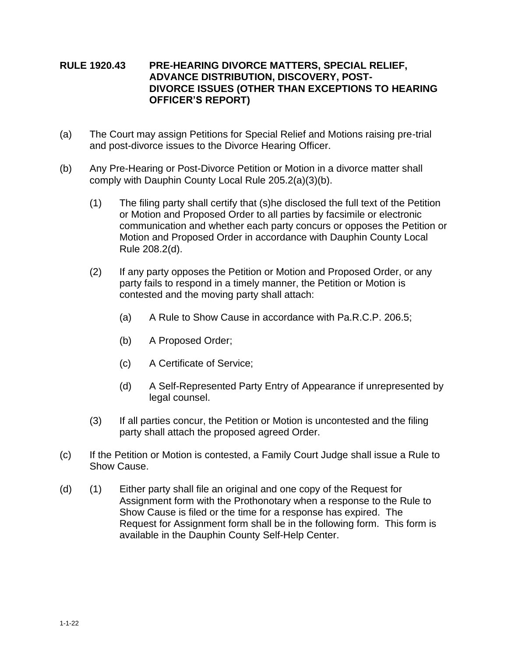## **RULE 1920.43 PRE-HEARING DIVORCE MATTERS, SPECIAL RELIEF, ADVANCE DISTRIBUTION, DISCOVERY, POST-DIVORCE ISSUES (OTHER THAN EXCEPTIONS TO HEARING OFFICER'S REPORT)**

- (a) The Court may assign Petitions for Special Relief and Motions raising pre-trial and post-divorce issues to the Divorce Hearing Officer.
- (b) Any Pre-Hearing or Post-Divorce Petition or Motion in a divorce matter shall comply with Dauphin County Local Rule 205.2(a)(3)(b).
	- (1) The filing party shall certify that (s)he disclosed the full text of the Petition or Motion and Proposed Order to all parties by facsimile or electronic communication and whether each party concurs or opposes the Petition or Motion and Proposed Order in accordance with Dauphin County Local Rule 208.2(d).
	- (2) If any party opposes the Petition or Motion and Proposed Order, or any party fails to respond in a timely manner, the Petition or Motion is contested and the moving party shall attach:
		- (a) A Rule to Show Cause in accordance with Pa.R.C.P. 206.5;
		- (b) A Proposed Order;
		- (c) A Certificate of Service;
		- (d) A Self-Represented Party Entry of Appearance if unrepresented by legal counsel.
	- (3) If all parties concur, the Petition or Motion is uncontested and the filing party shall attach the proposed agreed Order.
- (c) If the Petition or Motion is contested, a Family Court Judge shall issue a Rule to Show Cause.
- (d) (1) Either party shall file an original and one copy of the Request for Assignment form with the Prothonotary when a response to the Rule to Show Cause is filed or the time for a response has expired. The Request for Assignment form shall be in the following form. This form is available in the Dauphin County Self-Help Center.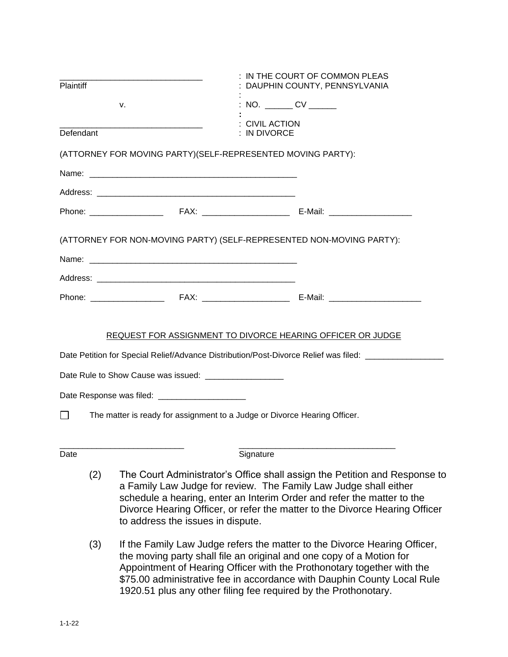| Plaintiff                                                                 |                                                                                                                                                                                                                                                                                                                                                     |                                                                                                                                                                                                                                                                                                                                                                           | IN THE COURT OF COMMON PLEAS<br>DAUPHIN COUNTY, PENNSYLVANIA   |                                                                                                     |
|---------------------------------------------------------------------------|-----------------------------------------------------------------------------------------------------------------------------------------------------------------------------------------------------------------------------------------------------------------------------------------------------------------------------------------------------|---------------------------------------------------------------------------------------------------------------------------------------------------------------------------------------------------------------------------------------------------------------------------------------------------------------------------------------------------------------------------|----------------------------------------------------------------|-----------------------------------------------------------------------------------------------------|
| v.<br>Defendant                                                           |                                                                                                                                                                                                                                                                                                                                                     |                                                                                                                                                                                                                                                                                                                                                                           | : NO. _______ CV ______<br><b>CIVIL ACTION</b><br>: IN DIVORCE |                                                                                                     |
|                                                                           |                                                                                                                                                                                                                                                                                                                                                     |                                                                                                                                                                                                                                                                                                                                                                           |                                                                |                                                                                                     |
|                                                                           |                                                                                                                                                                                                                                                                                                                                                     |                                                                                                                                                                                                                                                                                                                                                                           |                                                                |                                                                                                     |
|                                                                           |                                                                                                                                                                                                                                                                                                                                                     |                                                                                                                                                                                                                                                                                                                                                                           |                                                                |                                                                                                     |
|                                                                           |                                                                                                                                                                                                                                                                                                                                                     |                                                                                                                                                                                                                                                                                                                                                                           |                                                                |                                                                                                     |
|                                                                           |                                                                                                                                                                                                                                                                                                                                                     | (ATTORNEY FOR NON-MOVING PARTY) (SELF-REPRESENTED NON-MOVING PARTY):                                                                                                                                                                                                                                                                                                      |                                                                |                                                                                                     |
|                                                                           |                                                                                                                                                                                                                                                                                                                                                     |                                                                                                                                                                                                                                                                                                                                                                           |                                                                |                                                                                                     |
|                                                                           |                                                                                                                                                                                                                                                                                                                                                     |                                                                                                                                                                                                                                                                                                                                                                           |                                                                |                                                                                                     |
|                                                                           |                                                                                                                                                                                                                                                                                                                                                     |                                                                                                                                                                                                                                                                                                                                                                           |                                                                |                                                                                                     |
|                                                                           |                                                                                                                                                                                                                                                                                                                                                     | REQUEST FOR ASSIGNMENT TO DIVORCE HEARING OFFICER OR JUDGE                                                                                                                                                                                                                                                                                                                |                                                                |                                                                                                     |
|                                                                           |                                                                                                                                                                                                                                                                                                                                                     |                                                                                                                                                                                                                                                                                                                                                                           |                                                                | Date Petition for Special Relief/Advance Distribution/Post-Divorce Relief was filed: ______________ |
|                                                                           |                                                                                                                                                                                                                                                                                                                                                     | Date Rule to Show Cause was issued: ____________________                                                                                                                                                                                                                                                                                                                  |                                                                |                                                                                                     |
|                                                                           |                                                                                                                                                                                                                                                                                                                                                     | Date Response was filed: ________________________                                                                                                                                                                                                                                                                                                                         |                                                                |                                                                                                     |
| The matter is ready for assignment to a Judge or Divorce Hearing Officer. |                                                                                                                                                                                                                                                                                                                                                     |                                                                                                                                                                                                                                                                                                                                                                           |                                                                |                                                                                                     |
| Date                                                                      |                                                                                                                                                                                                                                                                                                                                                     |                                                                                                                                                                                                                                                                                                                                                                           | Signature                                                      |                                                                                                     |
|                                                                           | The Court Administrator's Office shall assign the Petition and Response to<br>(2)<br>a Family Law Judge for review. The Family Law Judge shall either<br>schedule a hearing, enter an Interim Order and refer the matter to the<br>Divorce Hearing Officer, or refer the matter to the Divorce Hearing Officer<br>to address the issues in dispute. |                                                                                                                                                                                                                                                                                                                                                                           |                                                                |                                                                                                     |
|                                                                           | (3)                                                                                                                                                                                                                                                                                                                                                 | If the Family Law Judge refers the matter to the Divorce Hearing Officer,<br>the moving party shall file an original and one copy of a Motion for<br>Appointment of Hearing Officer with the Prothonotary together with the<br>\$75.00 administrative fee in accordance with Dauphin County Local Rule<br>1920.51 plus any other filing fee required by the Prothonotary. |                                                                |                                                                                                     |